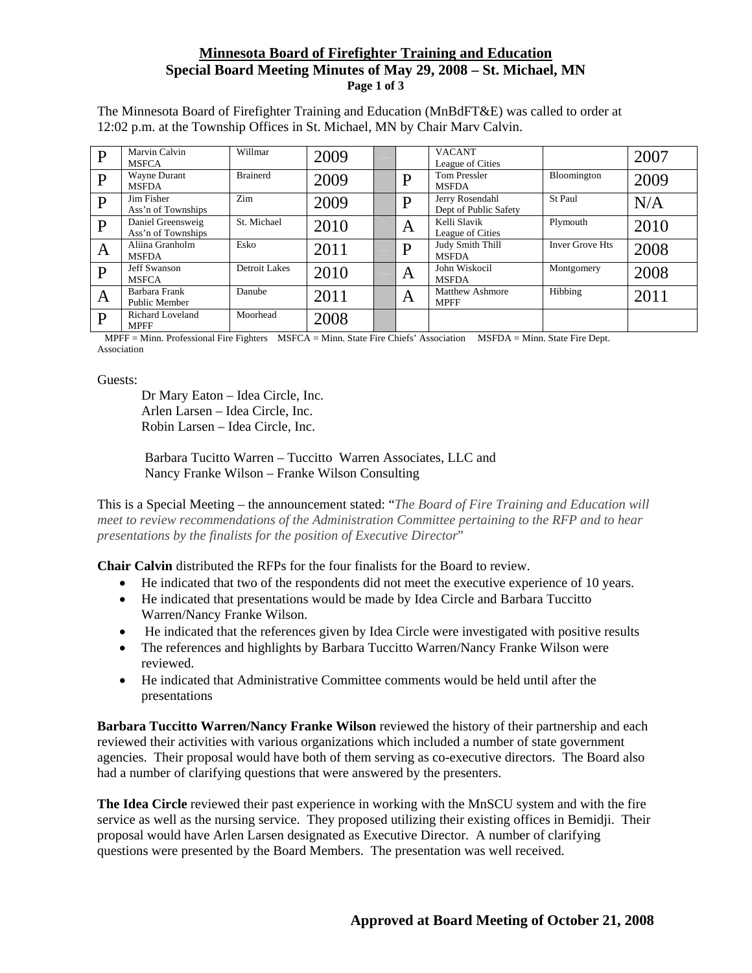## **Minnesota Board of Firefighter Training and Education Special Board Meeting Minutes of May 29, 2008 – St. Michael, MN Page 1 of 3**

The Minnesota Board of Firefighter Training and Education (MnBdFT&E) was called to order at 12:02 p.m. at the Township Offices in St. Michael, MN by Chair Marv Calvin.

| D            | Marvin Calvin<br><b>MSFCA</b>           | Willmar         | 2009 |   | <b>VACANT</b><br>League of Cities        |                        | 2007 |
|--------------|-----------------------------------------|-----------------|------|---|------------------------------------------|------------------------|------|
| $\mathbf{P}$ | Wayne Durant<br><b>MSFDA</b>            | <b>Brainerd</b> | 2009 | D | <b>Tom Pressler</b><br><b>MSFDA</b>      | Bloomington            | 2009 |
| $\mathbf{P}$ | Jim Fisher<br>Ass'n of Townships        | Zim             | 2009 | D | Jerry Rosendahl<br>Dept of Public Safety | St Paul                | N/A  |
| P            | Daniel Greensweig<br>Ass'n of Townships | St. Michael     | 2010 | A | Kelli Slavik<br>League of Cities         | Plymouth               | 2010 |
| A            | Aliina Granholm<br><b>MSFDA</b>         | Esko            | 2011 | D | Judy Smith Thill<br><b>MSFDA</b>         | <b>Inver Grove Hts</b> | 2008 |
| $\mathbf{P}$ | <b>Jeff Swanson</b><br><b>MSFCA</b>     | Detroit Lakes   | 2010 | A | John Wiskocil<br><b>MSFDA</b>            | Montgomery             | 2008 |
| A            | Barbara Frank<br>Public Member          | Danube          | 2011 | A | Matthew Ashmore<br><b>MPFF</b>           | Hibbing                | 2011 |
| P            | <b>Richard Loveland</b><br><b>MPFF</b>  | Moorhead        | 2008 |   |                                          |                        |      |

 MPFF = Minn. Professional Fire Fighters MSFCA = Minn. State Fire Chiefs' Association MSFDA = Minn. State Fire Dept. Association

Guests:

Dr Mary Eaton – Idea Circle, Inc. Arlen Larsen – Idea Circle, Inc. Robin Larsen – Idea Circle, Inc.

 Barbara Tucitto Warren – Tuccitto Warren Associates, LLC and Nancy Franke Wilson – Franke Wilson Consulting

This is a Special Meeting – the announcement stated: "*The Board of Fire Training and Education will meet to review recommendations of the Administration Committee pertaining to the RFP and to hear presentations by the finalists for the position of Executive Director*"

**Chair Calvin** distributed the RFPs for the four finalists for the Board to review.

- He indicated that two of the respondents did not meet the executive experience of 10 years.
- He indicated that presentations would be made by Idea Circle and Barbara Tuccitto Warren/Nancy Franke Wilson.
- He indicated that the references given by Idea Circle were investigated with positive results
- The references and highlights by Barbara Tuccitto Warren/Nancy Franke Wilson were reviewed.
- He indicated that Administrative Committee comments would be held until after the presentations

**Barbara Tuccitto Warren/Nancy Franke Wilson** reviewed the history of their partnership and each reviewed their activities with various organizations which included a number of state government agencies. Their proposal would have both of them serving as co-executive directors. The Board also had a number of clarifying questions that were answered by the presenters.

**The Idea Circle** reviewed their past experience in working with the MnSCU system and with the fire service as well as the nursing service. They proposed utilizing their existing offices in Bemidji. Their proposal would have Arlen Larsen designated as Executive Director. A number of clarifying questions were presented by the Board Members. The presentation was well received.